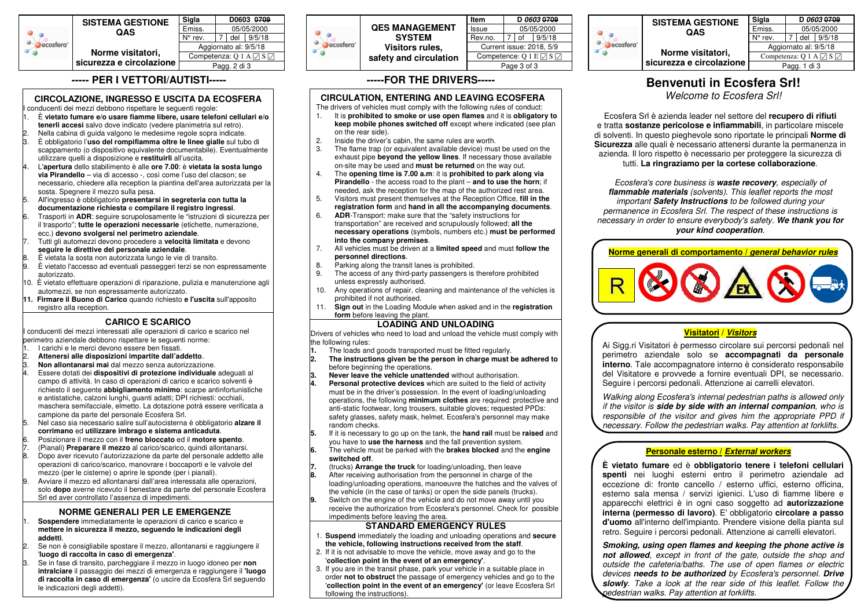

## **----- PER I VETTORI/AUTISTI-----**

## **CIRCOLAZIONE, INGRESSO E USCITA DA ECOSFERA**

- conducenti dei mezzi debbono rispettare le seguenti regole: 1. È **vietato fumare e/o usare fiamme libere, usare telefoni cellulari e/o tenerli accesi** salvo dove indicato (vedere planimetria sul retro).
- 2. Nella cabina di guida valgono le medesime regole sopra indicate.
- 3. È obbligatorio l'**uso del rompifiamma oltre le linee gialle** sul tubo di scappamento (o dispositivo equivalente documentabile). Eventualmente utilizzare quelli a disposizione e **restituirli** all'uscita.
- 4. L'**apertura** dello stabilimento è alle **ore 7.00**: è **vietata la sosta lungo via Pirandello** – via di accesso -, così come l'uso del clacson; se necessario, chiedere alla reception la piantina dell'area autorizzata per la sosta. Spegnere il mezzo sulla pesa.
- 5. All'ingresso è obbligatorio **presentarsi in segreteria con tutta la documentazione richiesta** e **compilare il registro ingressi**.
- 6. Trasporti in **ADR**: seguire scrupolosamente le "istruzioni di sicurezza per il trasporto"; **tutte le operazioni necessarie** (etichette, numerazione, ecc.) **devono svolgersi nel perimetro aziendale**.
- 7. Tutti gli automezzi devono procedere a **velocità limitata** e devono**seguire le direttive del personale aziendale**.
- 8. È vietata la sosta non autorizzata lungo le vie di transito.
- 9. È vietato l'accesso ad eventuali passeggeri terzi se non espressamente autorizzato.
- 10. È vietato effettuare operazioni di riparazione, pulizia e manutenzione agli automezzi, se non espressamente autorizzato.
- **11. Firmare il Buono di Carico** quando richiesto **e l'uscita** sull'apposito registro alla reception.

## **CARICO E SCARICO**

 I conducenti dei mezzi interessati alle operazioni di carico e scarico nel perimetro aziendale debbono rispettare le seguenti norme:

- 1. I carichi e le merci devono essere ben fissati.
- 2. **Attenersi alle disposizioni impartite dall'addetto**.
- 3. **Non allontanarsi mai** dal mezzo senza autorizzazione.
- 4. Essere dotati dei **dispositivi di protezione individuale** adeguati al campo di attività. In caso di operazioni di carico e scarico solventi è richiesto il seguente **abbigliamento minimo**: scarpe antinfortunistiche e antistatiche, calzoni lunghi, guanti adatti; DPI richiesti: occhiali, maschera semifacciale, elmetto. La dotazione potrà essere verificata a campione da parte del personale Ecosfera Srl.
- 5. Nel caso sia necessario salire sull'autocisterna è obbligatorio **alzare il corrimano** ed **utilizzare imbrago e sistema anticaduta**.
- 6. Posizionare il mezzo con il **freno bloccato** ed il **motore spento**.
- 7. (Pianali) **Preparare il mezzo** al carico/scarico, quindi allontanarsi.8. Dopo aver ricevuto l'autorizzazione da parte del personale addetto alle
- operazioni di carico/scarico, manovrare i boccaporti e le valvole del
- mezzo (per le cisterne) o aprire le sponde (per i pianali).
- 9. Avviare il mezzo ed allontanarsi dall'area interessata alle operazioni, solo **dopo** averne ricevuto il benestare da parte del personale Ecosfera Srl ed aver controllato l'assenza di impedimenti.

## **NORME GENERALI PER LE EMERGENZE**

 1. **Sospendere** immediatamente le operazioni di carico e scarico e **mettere in sicurezza il mezzo, seguendo le indicazioni degli addetti**.

- 2. Se non è consigliabile spostare il mezzo, allontanarsi e raggiungere il '**luogo di raccolta in caso di emergenza'**.
- 3. Se in fase di transito, parcheggiare il mezzo in luogo idoneo per **non intralciare** il passaggio dei mezzi di emergenza e raggiungere il **'luogo di raccolta in caso di emergenza'** (o uscire da Ecosfera Srl seguendo le indicazioni degli addetti).



### 05/05/2000 7 of 9/5/18 Current issue: 2018, 5/9Competence: Q 1 E  $\boxdot$  S  $\boxdot$ Page 3 of 3

#### **<sup>D</sup>***0603* **<sup>0709</sup> SISTEMA**  $Q_{\alpha}$ **Q** ecosfera<sup>\*</sup>  $\sigma_0$ **Norme** sicurezza e

| <b>GESTIONE</b><br>AS       | Sigla                             | D 0603 0709 |     |        |
|-----------------------------|-----------------------------------|-------------|-----|--------|
|                             | Emiss.                            | 05/05/2000  |     |        |
|                             | N° rev.                           |             | del | 9/5/18 |
| visitatori.<br>circolazione | Aggiornato al: 9/5/18             |             |     |        |
|                             | Competenza: Q 1 A $\Box$ S $\Box$ |             |     |        |
|                             | Pagg. 1 di 3                      |             |     |        |

# **Benvenuti in Ecosfera Srl!**

*Welcome to Ecosfera Srl!*

Ecosfera Srl è azienda leader nel settore del **recupero di rifiuti** e tratta **sostanze pericolose e infiammabili**, in particolare miscele di solventi. In questo pieghevole sono riportate le principali **Norme di Sicurezza** alle quali è necessario attenersi durante la permanenza in azienda. Il loro rispetto è necessario per proteggere la sicurezza di tutti. **La ringraziamo per la cortese collaborazione**.

*Ecosfera's core business is waste recovery, especially of flammable materials (solvents). This leaflet reports the most important Safety Instructions to be followed during your permanence in Ecosfera Srl. The respect of these instructions is necessary in order to ensure everybody's safety. We thank you for your kind cooperation.*



## **Visitatori /** *Visitors*

 Ai Sigg.ri Visitatori è permesso circolare sui percorsi pedonali nel perimetro aziendale solo se **accompagnati da personale interno**. Tale accompagnatore interno è considerato responsabile del Visitatore e provvede a fornire eventuali DPI, se necessario. Seguire i percorsi pedonali. Attenzione ai carrelli elevatori.

*Walking along Ecosfera's internal pedestrian paths is allowed only if the visitor is side by side with an internal companion, who is responsible of the visitor and gives him the appropriate PPD if necessary. Follow the pedestrian walks. Pay attention at forklifts.*

## **Personale esterno /** *External workers*

 **È vietato fumare** ed è **obbligatorio tenere i telefoni cellulari spenti** nei luoghi esterni entro il perimetro aziendale ad eccezione di: fronte cancello / esterno uffici, esterno officina, esterno sala mensa / servizi igienici. L'uso di fiamme libere e apparecchi elettrici è in ogni caso soggetto ad **autorizzazione interna (permesso di lavoro)**. E' obbligatorio **circolare a passo d'uomo** all'interno dell'impianto. Prendere visione della pianta sul retro. Seguire i percorsi pedonali. Attenzione ai carrelli elevatori.

*Smoking, using open flames and keeping the phone active is not allowed, except in front of the gate, outside the shop and outside the cafeteria/baths. The use of open flames or electric devices needs to be authorized by Ecosfera's personnel. Drive slowly. Take a look at the rear side of this leaflet. Follow the pedestrian walks. Pay attention at forklifts.*

**-----FOR THE DRIVERS-----** 

## **CIRCULATION, ENTERING AND LEAVING ECOSFERA**

The drivers of vehicles must comply with the following rules of conduct:

- 1. It is **prohibited to smoke or use open flames** and it is **obligatory to keep mobile phones switched off** except where indicated (see plan on the rear side).
- 2. Inside the driver's cabin, the same rules are worth.
- 3. The flame trap (or equivalent available device) must be used on the exhaust pipe **beyond the yellow lines**. If necessary those available on-site may be used and **must be returned** on the way out.
- 4. The **opening time is 7.00 a.m**: it is **prohibited to park along via Pirandello** - the access road to the plant – **and to use the horn**; if needed, ask the reception for the map of the authorized rest area.
- 5. Visitors must present themselves at the Reception Office, **fill in the registration form** and **hand in all the accompanying documents**.
- 6. **ADR**-Transport: make sure that the "safety instructions for transportation" are received and scrupulously followed; **all the necessary operations** (symbols, numbers etc.) **must be performed into the company premises**.
- 7. All vehicles must be driven at a **limited speed** and must **follow the personnel directions**.
- 8. Parking along the transit lanes is prohibited.
- 9. The access of any third-party passengers is therefore prohibited unless expressly authorised.
- 10. Any operations of repair, cleaning and maintenance of the vehicles is prohibited if not authorised.
- 11. **Sign out** in the Loading Module when asked and in the **registration form** before leaving the plant.

## **LOADING AND UNLOADING**

 Drivers of vehicles who need to load and unload the vehicle must comply with the following rules:

- **1.** The loads and goods transported must be fitted regularly.
- **2. The instructions given be the person in charge must be adhered to** before beginning the operations.
- **3. Never leave the vehicle unattended** without authorisation.
- **4. Personal protective devices** which are suited to the field of activity must be in the driver's possession. In the event of loading/unloading operations, the following **minimum clothes** are required: protective and anti-static footwear, long trousers, suitable gloves; requested PPDs: safety glasses, safety mask, helmet. Ecosfera's personnel may make random checks.
- **5.** If it is necessary to go up on the tank, the **hand rail** must be **raised** and you have to **use the harness** and the fall prevention system.
- **6.** The vehicle must be parked with the **brakes blocked** and the **engine switched off**.
- **7.** (trucks) **Arrange the truck** for loading/unloading, then leave
- **8.** After receiving authorisation from the personnel in charge of the loading/unloading operations, manoeuvre the hatches and the valves of the vehicle (in the case of tanks) or open the side panels (trucks).
- **9.** Switch on the engine of the vehicle and do not move away until you receive the authorization from Ecosfera's personnel. Check for possible impediments before leaving the area.

## **STANDARD EMERGENCY RULES**

- 1. **Suspend** immediately the loading and unloading operations and **secure the vehicle, following instructions received from the staff**.
- 2. If it is not advisable to move the vehicle, move away and go to the '**collection point in the event of an emergency'**.
- 3. If you are in the transit phase, park your vehicle in a suitable place in order **not to obstruct** the passage of emergency vehicles and go to the '**collection point in the event of an emergency'** (or leave Ecosfera Srl following the instructions).